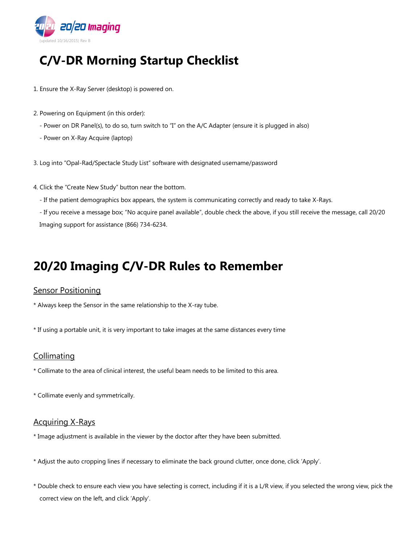

# **C/V-DR Morning Startup Checklist**

- 1. Ensure the X-Ray Server (desktop) is powered on.
- 2. Powering on Equipment (in this order):
	- Power on DR Panel(s), to do so, turn switch to "I" on the A/C Adapter (ensure it is plugged in also)
	- Power on X-Ray Acquire (laptop)
- 3. Log into "Opal-Rad/Spectacle Study List" software with designated username/password
- 4. Click the "Create New Study" button near the bottom.
	- If the patient demographics box appears, the system is communicating correctly and ready to take X-Rays.

- If you receive a message box; "No acquire panel available", double check the above, if you still receive the message, call 20/20 Imaging support for assistance (866) 734-6234.

## **20/20 Imaging C/V-DR Rules to Remember**

#### **Sensor Positioning**

- \* Always keep the Sensor in the same relationship to the X-ray tube.
- \* If using a portable unit, it is very important to take images at the same distances every time

## **Collimating**

- \* Collimate to the area of clinical interest, the useful beam needs to be limited to this area.
- \* Collimate evenly and symmetrically.

#### Acquiring X-Rays

- \* Image adjustment is available in the viewer by the doctor after they have been submitted.
- \* Adjust the auto cropping lines if necessary to eliminate the back ground clutter, once done, click 'Apply'.
- \* Double check to ensure each view you have selecting is correct, including if it is a L/R view, if you selected the wrong view, pick the correct view on the left, and click 'Apply'.